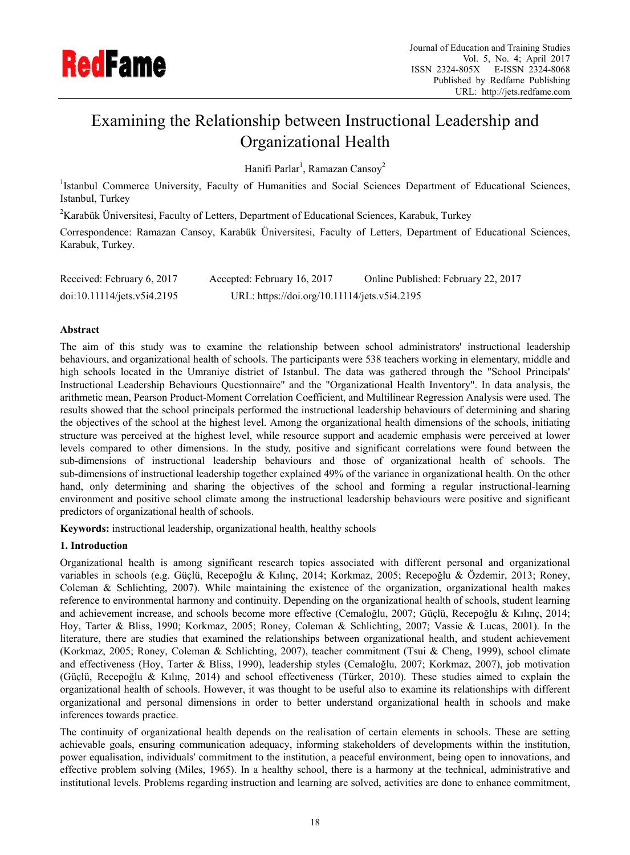

# Examining the Relationship between Instructional Leadership and Organizational Health

Hanifi Parlar<sup>1</sup>, Ramazan Cansoy<sup>2</sup>

<sup>1</sup>Istanbul Commerce University, Faculty of Humanities and Social Sciences Department of Educational Sciences, Istanbul, Turkey

<sup>2</sup> Karabük Üniversitesi, Faculty of Letters, Department of Educational Sciences, Karabuk, Turkey

Correspondence: Ramazan Cansoy, Karabük Üniversitesi, Faculty of Letters, Department of Educational Sciences, Karabuk, Turkey.

| Received: February 6, 2017  | Accepted: February 16, 2017                  | Online Published: February 22, 2017 |
|-----------------------------|----------------------------------------------|-------------------------------------|
| doi:10.11114/jets.v5i4.2195 | URL: https://doi.org/10.11114/jets.v5i4.2195 |                                     |

## **Abstract**

The aim of this study was to examine the relationship between school administrators' instructional leadership behaviours, and organizational health of schools. The participants were 538 teachers working in elementary, middle and high schools located in the Umraniye district of Istanbul. The data was gathered through the "School Principals' Instructional Leadership Behaviours Questionnaire" and the "Organizational Health Inventory". In data analysis, the arithmetic mean, Pearson Product-Moment Correlation Coefficient, and Multilinear Regression Analysis were used. The results showed that the school principals performed the instructional leadership behaviours of determining and sharing the objectives of the school at the highest level. Among the organizational health dimensions of the schools, initiating structure was perceived at the highest level, while resource support and academic emphasis were perceived at lower levels compared to other dimensions. In the study, positive and significant correlations were found between the sub-dimensions of instructional leadership behaviours and those of organizational health of schools. The sub-dimensions of instructional leadership together explained 49% of the variance in organizational health. On the other hand, only determining and sharing the objectives of the school and forming a regular instructional-learning environment and positive school climate among the instructional leadership behaviours were positive and significant predictors of organizational health of schools.

**Keywords:** instructional leadership, organizational health, healthy schools

# **1. Introduction**

Organizational health is among significant research topics associated with different personal and organizational variables in schools (e.g. Güçlü, Recepoğlu & Kılınç, 2014; Korkmaz, 2005; Recepoğlu & Özdemir, 2013; Roney, Coleman & Schlichting, 2007). While maintaining the existence of the organization, organizational health makes reference to environmental harmony and continuity. Depending on the organizational health of schools, student learning and achievement increase, and schools become more effective (Cemaloğlu, 2007; Güçlü, Recepoğlu & Kılınç, 2014; Hoy, Tarter & Bliss, 1990; Korkmaz, 2005; Roney, Coleman & Schlichting, 2007; Vassie & Lucas, 2001). In the literature, there are studies that examined the relationships between organizational health, and student achievement (Korkmaz, 2005; Roney, Coleman & Schlichting, 2007), teacher commitment (Tsui & Cheng, 1999), school climate and effectiveness (Hoy, Tarter & Bliss, 1990), leadership styles (Cemaloğlu, 2007; Korkmaz, 2007), job motivation (Güçlü, Recepoğlu & Kılınç, 2014) and school effectiveness (Türker, 2010). These studies aimed to explain the organizational health of schools. However, it was thought to be useful also to examine its relationships with different organizational and personal dimensions in order to better understand organizational health in schools and make inferences towards practice.

The continuity of organizational health depends on the realisation of certain elements in schools. These are setting achievable goals, ensuring communication adequacy, informing stakeholders of developments within the institution, power equalisation, individuals' commitment to the institution, a peaceful environment, being open to innovations, and effective problem solving (Miles, 1965). In a healthy school, there is a harmony at the technical, administrative and institutional levels. Problems regarding instruction and learning are solved, activities are done to enhance commitment,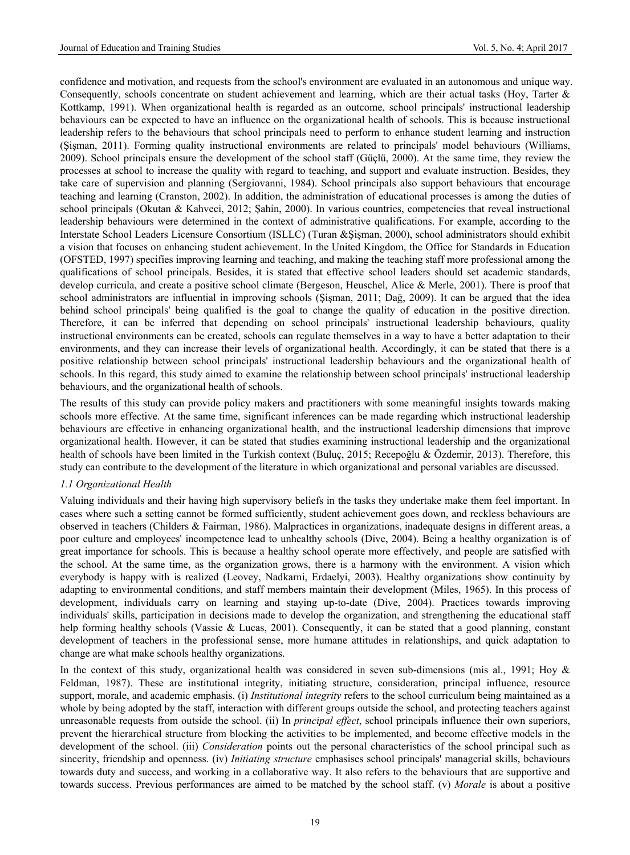confidence and motivation, and requests from the school's environment are evaluated in an autonomous and unique way. Consequently, schools concentrate on student achievement and learning, which are their actual tasks (Hoy, Tarter & Kottkamp, 1991). When organizational health is regarded as an outcome, school principals' instructional leadership behaviours can be expected to have an influence on the organizational health of schools. This is because instructional leadership refers to the behaviours that school principals need to perform to enhance student learning and instruction (Şişman, 2011). Forming quality instructional environments are related to principals' model behaviours (Williams, 2009). School principals ensure the development of the school staff (Güçlü, 2000). At the same time, they review the processes at school to increase the quality with regard to teaching, and support and evaluate instruction. Besides, they take care of supervision and planning (Sergiovanni, 1984). School principals also support behaviours that encourage teaching and learning (Cranston, 2002). In addition, the administration of educational processes is among the duties of school principals (Okutan & Kahveci, 2012; Şahin, 2000). In various countries, competencies that reveal instructional leadership behaviours were determined in the context of administrative qualifications. For example, according to the Interstate School Leaders Licensure Consortium (ISLLC) (Turan &Şişman, 2000), school administrators should exhibit a vision that focuses on enhancing student achievement. In the United Kingdom, the Office for Standards in Education (OFSTED, 1997) specifies improving learning and teaching, and making the teaching staff more professional among the qualifications of school principals. Besides, it is stated that effective school leaders should set academic standards, develop curricula, and create a positive school climate (Bergeson, Heuschel, Alice & Merle, 2001). There is proof that school administrators are influential in improving schools (Şişman, 2011; Dağ, 2009). It can be argued that the idea behind school principals' being qualified is the goal to change the quality of education in the positive direction. Therefore, it can be inferred that depending on school principals' instructional leadership behaviours, quality instructional environments can be created, schools can regulate themselves in a way to have a better adaptation to their environments, and they can increase their levels of organizational health. Accordingly, it can be stated that there is a positive relationship between school principals' instructional leadership behaviours and the organizational health of schools. In this regard, this study aimed to examine the relationship between school principals' instructional leadership behaviours, and the organizational health of schools.

The results of this study can provide policy makers and practitioners with some meaningful insights towards making schools more effective. At the same time, significant inferences can be made regarding which instructional leadership behaviours are effective in enhancing organizational health, and the instructional leadership dimensions that improve organizational health. However, it can be stated that studies examining instructional leadership and the organizational health of schools have been limited in the Turkish context (Buluç, 2015; Recepoğlu & Özdemir, 2013). Therefore, this study can contribute to the development of the literature in which organizational and personal variables are discussed.

# *1.1 Organizational Health*

Valuing individuals and their having high supervisory beliefs in the tasks they undertake make them feel important. In cases where such a setting cannot be formed sufficiently, student achievement goes down, and reckless behaviours are observed in teachers (Childers & Fairman, 1986). Malpractices in organizations, inadequate designs in different areas, a poor culture and employees' incompetence lead to unhealthy schools (Dive, 2004). Being a healthy organization is of great importance for schools. This is because a healthy school operate more effectively, and people are satisfied with the school. At the same time, as the organization grows, there is a harmony with the environment. A vision which everybody is happy with is realized (Leovey, Nadkarni, Erdaelyi, 2003). Healthy organizations show continuity by adapting to environmental conditions, and staff members maintain their development (Miles, 1965). In this process of development, individuals carry on learning and staying up-to-date (Dive, 2004). Practices towards improving individuals' skills, participation in decisions made to develop the organization, and strengthening the educational staff help forming healthy schools (Vassie & Lucas, 2001). Consequently, it can be stated that a good planning, constant development of teachers in the professional sense, more humane attitudes in relationships, and quick adaptation to change are what make schools healthy organizations.

In the context of this study, organizational health was considered in seven sub-dimensions (mis al., 1991; Hoy & Feldman, 1987). These are institutional integrity, initiating structure, consideration, principal influence, resource support, morale, and academic emphasis. (i) *Institutional integrity* refers to the school curriculum being maintained as a whole by being adopted by the staff, interaction with different groups outside the school, and protecting teachers against unreasonable requests from outside the school. (ii) In *principal effect*, school principals influence their own superiors, prevent the hierarchical structure from blocking the activities to be implemented, and become effective models in the development of the school. (iii) *Consideration* points out the personal characteristics of the school principal such as sincerity, friendship and openness. (iv) *Initiating structure* emphasises school principals' managerial skills, behaviours towards duty and success, and working in a collaborative way. It also refers to the behaviours that are supportive and towards success. Previous performances are aimed to be matched by the school staff. (v) *Morale* is about a positive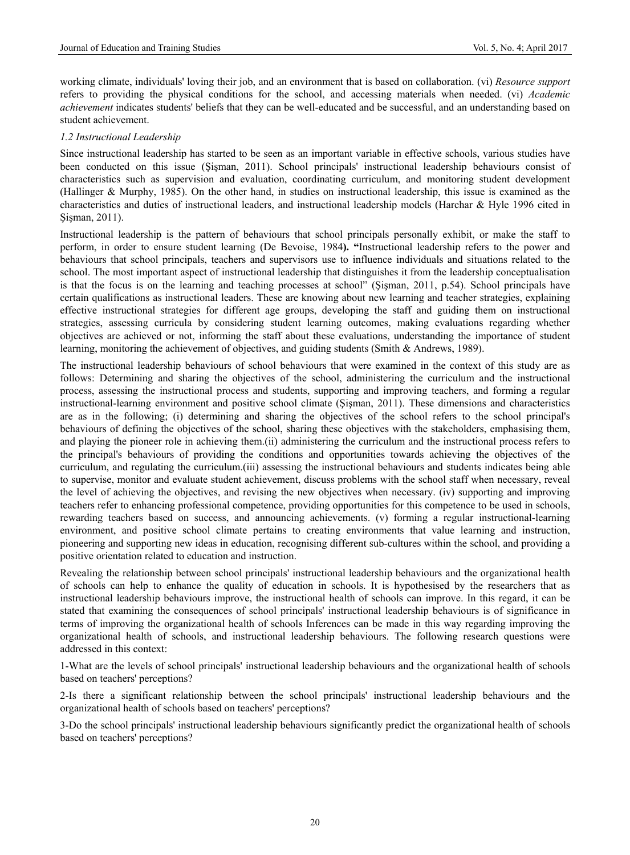working climate, individuals' loving their job, and an environment that is based on collaboration. (vi) *Resource support* refers to providing the physical conditions for the school, and accessing materials when needed. (vi) *Academic achievement* indicates students' beliefs that they can be well-educated and be successful, and an understanding based on student achievement.

## *1.2 Instructional Leadership*

Since instructional leadership has started to be seen as an important variable in effective schools, various studies have been conducted on this issue (Şişman, 2011). School principals' instructional leadership behaviours consist of characteristics such as supervision and evaluation, coordinating curriculum, and monitoring student development (Hallinger & Murphy, 1985). On the other hand, in studies on instructional leadership, this issue is examined as the characteristics and duties of instructional leaders, and instructional leadership models (Harchar & Hyle 1996 cited in Sisman, 2011).

Instructional leadership is the pattern of behaviours that school principals personally exhibit, or make the staff to perform, in order to ensure student learning (De Bevoise, 1984**). "**Instructional leadership refers to the power and behaviours that school principals, teachers and supervisors use to influence individuals and situations related to the school. The most important aspect of instructional leadership that distinguishes it from the leadership conceptualisation is that the focus is on the learning and teaching processes at school" (Şişman, 2011, p.54). School principals have certain qualifications as instructional leaders. These are knowing about new learning and teacher strategies, explaining effective instructional strategies for different age groups, developing the staff and guiding them on instructional strategies, assessing curricula by considering student learning outcomes, making evaluations regarding whether objectives are achieved or not, informing the staff about these evaluations, understanding the importance of student learning, monitoring the achievement of objectives, and guiding students (Smith & Andrews, 1989).

The instructional leadership behaviours of school behaviours that were examined in the context of this study are as follows: Determining and sharing the objectives of the school, administering the curriculum and the instructional process, assessing the instructional process and students, supporting and improving teachers, and forming a regular instructional-learning environment and positive school climate (Şişman, 2011). These dimensions and characteristics are as in the following; (i) determining and sharing the objectives of the school refers to the school principal's behaviours of defining the objectives of the school, sharing these objectives with the stakeholders, emphasising them, and playing the pioneer role in achieving them.(ii) administering the curriculum and the instructional process refers to the principal's behaviours of providing the conditions and opportunities towards achieving the objectives of the curriculum, and regulating the curriculum.(iii) assessing the instructional behaviours and students indicates being able to supervise, monitor and evaluate student achievement, discuss problems with the school staff when necessary, reveal the level of achieving the objectives, and revising the new objectives when necessary. (iv) supporting and improving teachers refer to enhancing professional competence, providing opportunities for this competence to be used in schools, rewarding teachers based on success, and announcing achievements. (v) forming a regular instructional-learning environment, and positive school climate pertains to creating environments that value learning and instruction, pioneering and supporting new ideas in education, recognising different sub-cultures within the school, and providing a positive orientation related to education and instruction.

Revealing the relationship between school principals' instructional leadership behaviours and the organizational health of schools can help to enhance the quality of education in schools. It is hypothesised by the researchers that as instructional leadership behaviours improve, the instructional health of schools can improve. In this regard, it can be stated that examining the consequences of school principals' instructional leadership behaviours is of significance in terms of improving the organizational health of schools Inferences can be made in this way regarding improving the organizational health of schools, and instructional leadership behaviours. The following research questions were addressed in this context:

1-What are the levels of school principals' instructional leadership behaviours and the organizational health of schools based on teachers' perceptions?

2-Is there a significant relationship between the school principals' instructional leadership behaviours and the organizational health of schools based on teachers' perceptions?

3-Do the school principals' instructional leadership behaviours significantly predict the organizational health of schools based on teachers' perceptions?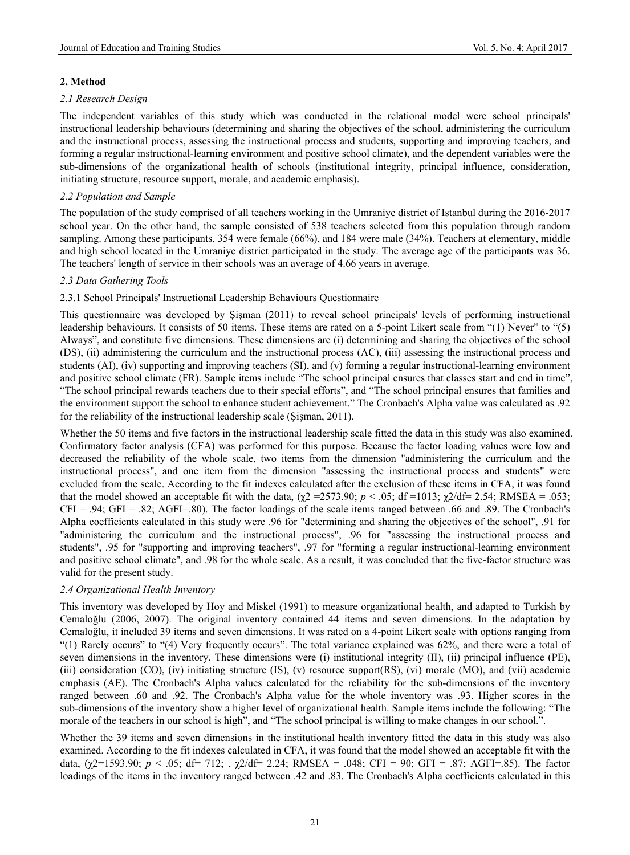# **2. Method**

## *2.1 Research Design*

The independent variables of this study which was conducted in the relational model were school principals' instructional leadership behaviours (determining and sharing the objectives of the school, administering the curriculum and the instructional process, assessing the instructional process and students, supporting and improving teachers, and forming a regular instructional-learning environment and positive school climate), and the dependent variables were the sub-dimensions of the organizational health of schools (institutional integrity, principal influence, consideration, initiating structure, resource support, morale, and academic emphasis).

# *2.2 Population and Sample*

The population of the study comprised of all teachers working in the Umraniye district of Istanbul during the 2016-2017 school year. On the other hand, the sample consisted of 538 teachers selected from this population through random sampling. Among these participants, 354 were female (66%), and 184 were male (34%). Teachers at elementary, middle and high school located in the Umraniye district participated in the study. The average age of the participants was 36. The teachers' length of service in their schools was an average of 4.66 years in average.

## *2.3 Data Gathering Tools*

## 2.3.1 School Principals' Instructional Leadership Behaviours Questionnaire

This questionnaire was developed by Şişman (2011) to reveal school principals' levels of performing instructional leadership behaviours. It consists of 50 items. These items are rated on a 5-point Likert scale from "(1) Never" to "(5) Always", and constitute five dimensions. These dimensions are (i) determining and sharing the objectives of the school (DS), (ii) administering the curriculum and the instructional process (AC), (iii) assessing the instructional process and students (AI), (iv) supporting and improving teachers (SI), and (v) forming a regular instructional-learning environment and positive school climate (FR). Sample items include "The school principal ensures that classes start and end in time", "The school principal rewards teachers due to their special efforts", and "The school principal ensures that families and the environment support the school to enhance student achievement." The Cronbach's Alpha value was calculated as .92 for the reliability of the instructional leadership scale (Şişman, 2011).

Whether the 50 items and five factors in the instructional leadership scale fitted the data in this study was also examined. Confirmatory factor analysis (CFA) was performed for this purpose. Because the factor loading values were low and decreased the reliability of the whole scale, two items from the dimension "administering the curriculum and the instructional process", and one item from the dimension "assessing the instructional process and students" were excluded from the scale. According to the fit indexes calculated after the exclusion of these items in CFA, it was found that the model showed an acceptable fit with the data,  $(\chi^2 = 2573.90; p < .05; df = 1013; \chi^2/df = 2.54; RMSEA = .053;$  $CFI = .94$ ;  $GFI = .82$ ;  $AGFI = .80$ ). The factor loadings of the scale items ranged between .66 and .89. The Cronbach's Alpha coefficients calculated in this study were .96 for "determining and sharing the objectives of the school", .91 for "administering the curriculum and the instructional process", .96 for "assessing the instructional process and students", .95 for "supporting and improving teachers", .97 for "forming a regular instructional-learning environment and positive school climate", and .98 for the whole scale. As a result, it was concluded that the five-factor structure was valid for the present study.

## *2.4 Organizational Health Inventory*

This inventory was developed by Hoy and Miskel (1991) to measure organizational health, and adapted to Turkish by Cemaloğlu (2006, 2007). The original inventory contained 44 items and seven dimensions. In the adaptation by Cemaloğlu, it included 39 items and seven dimensions. It was rated on a 4-point Likert scale with options ranging from "(1) Rarely occurs" to "(4) Very frequently occurs". The total variance explained was 62%, and there were a total of seven dimensions in the inventory. These dimensions were (i) institutional integrity (II), (ii) principal influence (PE), (iii) consideration (CO), (iv) initiating structure (IS), (v) resource support(RS), (vi) morale (MO), and (vii) academic emphasis (AE). The Cronbach's Alpha values calculated for the reliability for the sub-dimensions of the inventory ranged between .60 and .92. The Cronbach's Alpha value for the whole inventory was .93. Higher scores in the sub-dimensions of the inventory show a higher level of organizational health. Sample items include the following: "The morale of the teachers in our school is high", and "The school principal is willing to make changes in our school.".

Whether the 39 items and seven dimensions in the institutional health inventory fitted the data in this study was also examined. According to the fit indexes calculated in CFA, it was found that the model showed an acceptable fit with the data,  $(\chi^2=1593.90; p < .05; df = 712; \chi^2/df = 2.24; RMSEA = .048; CFI = 90; GFI = .87; AGFI = .85).$  The factor loadings of the items in the inventory ranged between .42 and .83. The Cronbach's Alpha coefficients calculated in this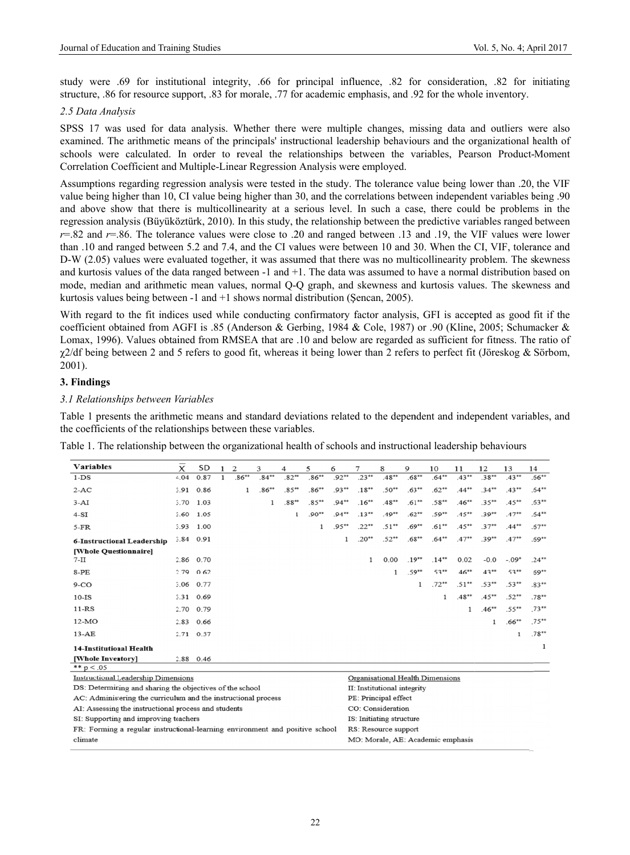study were .69 for institutional integrity, .66 for principal influence, .82 for consideration, .82 for initiating structure, .86 for resource support, .83 for morale, .77 for academic emphasis, and .92 for the whole inventory.

### 2.5 Data Analysis

SPSS 17 was used for data analysis. Whether there were multiple changes, missing data and outliers were also examined. The arithmetic means of the principals' instructional leadership behaviours and the organizational health of schools were calculated. In order to reveal the relationships between the variables. Pearson Product-Moment Correlation Coefficient and Multiple-Linear Regression Analysis were employed.

Assumptions regarding regression analysis were tested in the study. The tolerance value being lower than .20, the VIF 90. value being higher than 10, CI value being higher than 30, and the correlations between independent variables being and above show that there is multicollinearity at a serious level. In such a case, there could be problems in the regression analysis (Büyüköztürk, 2010). In this study, the relationship between the predictive variables ranged between  $r=.82$  and  $r=.86$ . The tolerance values were close to .20 and ranged between .13 and .19, the VIF values were lower than .10 and ranged between 5.2 and 7.4, and the CI values were between 10 and 30. When the CI, VIF, tolerance and D-W (2.05) values were evaluated together, it was assumed that there was no multicollinearity problem. The skewness and kurtosis values of the data ranged between  $-1$  and  $+1$ . The data was assumed to have a normal distribution based on mode, median and arithmetic mean values, normal Q-Q graph, and skewness and kurtosis values. The skewness and kurtosis values being between  $-1$  and  $+1$  shows normal distribution (Sencan, 2005).

With regard to the fit indices used while conducting confirmatory factor analysis, GFI is accepted as good fit if the coefficient obtained from AGFI is .85 (Anderson & Gerbing, 1984 & Cole, 1987) or .90 (Kline, 2005; Schumacker & Lomax, 1996). Values obtained from RMSEA that are .10 and below are regarded as sufficient for fitness. The ratio of  $\gamma$ 2/df being between 2 and 5 refers to good fit, whereas it being lower than 2 refers to perfect fit (Jöreskog & Sörbom,  $2001$ ).

### 3. Findings

#### 3.1 Relationships between Variables

Table 1 presents the arithmetic means and standard deviations related to the dependent and independent variables, and the coefficients of the relationships between these variables.

| Table 1. The relationship between the organizational health of schools and instructional leadership behaviours |
|----------------------------------------------------------------------------------------------------------------|
|----------------------------------------------------------------------------------------------------------------|

| <b>Variables</b>                                                             | $\overline{x}$ | SD        | 1            | 2        | 3        | 4                           | 5                                | 6                                 | 7        | 8                    | 9        | 10       | 11       | 12       | 13       | 14       |
|------------------------------------------------------------------------------|----------------|-----------|--------------|----------|----------|-----------------------------|----------------------------------|-----------------------------------|----------|----------------------|----------|----------|----------|----------|----------|----------|
| $1-DS$                                                                       | 4.04           | 0.87      | $\mathbf{1}$ | $.86***$ | $.84**$  | $.82**$                     | $.86**$                          | $.92**$                           | $.23**$  | $.48**$              | $.68**$  | $.64***$ | $.43**$  | $.38**$  | $.43**$  | $.66***$ |
| $2-AC$                                                                       | 3.91           | 0.86      |              | 1        | $.86***$ | $85**$                      | $.86**$                          | $.93**$                           | $.18**$  | $.50**$              | $.63**$  | $.62**$  | $.44***$ | $.34**$  | $43**$   | $.64***$ |
| $3-AI$                                                                       |                | 3.70 1.03 |              |          | 1        | $.88**$                     | $.85**$                          | $.94**$                           | $.16***$ | $.48**$              | $.61**$  | $.58**$  | $.46**$  | $.35**$  | $.45**$  | $.63***$ |
| $4-SI$                                                                       | 3.60           | 1.05      |              |          |          | $\mathbf{1}$                | $.90**$                          | $.94**$                           | $.13***$ | $.49**$              | $.62**$  | $.59**$  | $.45***$ | $.39**$  | $.47**$  | $.64**$  |
| $5-FR$                                                                       | 3.93           | 1.00      |              |          |          |                             | $\mathbf{1}$                     | $.95**$                           | $.22**$  | $.51**$              | $.69**$  | $.61**$  | $.45***$ | $.37**$  | $.44***$ | $.67**$  |
| 6-Instructional Leadership                                                   |                | 3.84 0.91 |              |          |          |                             |                                  | 1                                 | $.20**$  | $.52**$              | $.68**$  | $.64**$  | $.47**$  | $.39**$  | $.47**$  | $.69**$  |
| [Whole Questionnaire]                                                        |                |           |              |          |          |                             |                                  |                                   |          |                      |          |          |          |          |          |          |
| $7-II$                                                                       |                | 2.86 0.70 |              |          |          |                             |                                  |                                   | 1        | 0.00                 | $.19***$ | $.14***$ | 0.02     | $-0.0$   | $-.09*$  | $.24**$  |
| $8-PE$                                                                       | 2.79           | 0.62      |              |          |          |                             |                                  |                                   |          | 1                    | $.59**$  | $.53**$  | $.46***$ | $43**$   | $.53**$  | $.69***$ |
| $9-CO$                                                                       | 3.06           | 0.77      |              |          |          |                             |                                  |                                   |          |                      | 1        | $.72**$  | $.51**$  | $.53**$  | $.53***$ | $.83**$  |
| $10-IS$                                                                      |                | 3.31 0.69 |              |          |          |                             |                                  |                                   |          |                      |          | 1        | $.48**$  | $.45***$ | $.52**$  | $.78**$  |
| $11-RS$                                                                      |                | 2.70 0.79 |              |          |          |                             |                                  |                                   |          |                      |          |          | 1        | $.46**$  | $.55***$ | $.73**$  |
| $12-MO$                                                                      | 2.83           | 0.66      |              |          |          |                             |                                  |                                   |          |                      |          |          |          | 1        | $.66***$ | $.75***$ |
| $13 - AE$                                                                    |                | 2.71 0.57 |              |          |          |                             |                                  |                                   |          |                      |          |          |          |          | 1        | $.78**$  |
| <b>14-Institutional Health</b>                                               |                |           |              |          |          |                             |                                  |                                   |          |                      |          |          |          |          |          | 1        |
| [Whole Inventory]                                                            |                | 2.88 0.46 |              |          |          |                             |                                  |                                   |          |                      |          |          |          |          |          |          |
| ** $p < 0.05$                                                                |                |           |              |          |          |                             |                                  |                                   |          |                      |          |          |          |          |          |          |
| <b>Instructional Leadership Dimensions</b>                                   |                |           |              |          |          |                             | Organisational Health Dimensions |                                   |          |                      |          |          |          |          |          |          |
| DS: Determining and sharing the objectives of the school                     |                |           |              |          |          | II: Institutional integrity |                                  |                                   |          |                      |          |          |          |          |          |          |
| AC: Administering the curriculum and the instructional process               |                |           |              |          |          |                             |                                  |                                   |          | PE: Principal effect |          |          |          |          |          |          |
| AI: Assessing the instructional process and students                         |                |           |              |          |          |                             |                                  |                                   |          | CO: Consideration    |          |          |          |          |          |          |
| SI: Supporting and improving teachers                                        |                |           |              |          |          | IS: Initiating structure    |                                  |                                   |          |                      |          |          |          |          |          |          |
| FR: Forming a regular instructional-learning environment and positive school |                |           |              |          |          |                             | RS: Resource support             |                                   |          |                      |          |          |          |          |          |          |
| climate                                                                      |                |           |              |          |          |                             |                                  | MO: Morale, AE: Academic emphasis |          |                      |          |          |          |          |          |          |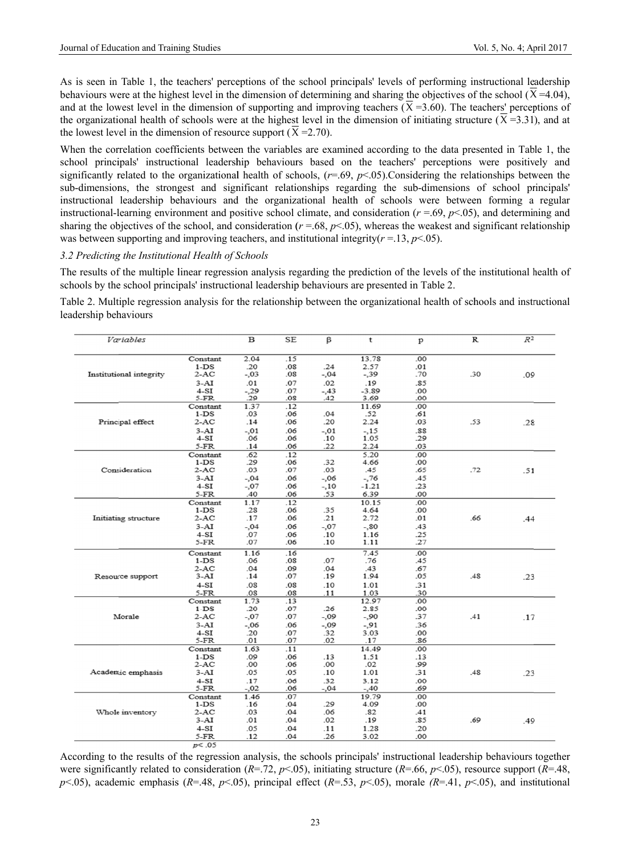As is seen in Table 1, the teachers' perceptions of the school principals' levels of performing instructional leadership behaviours were at the highest level in the dimension of determining and sharing the objectives of the school  $(X=4.04)$ , and at the lowest level in the dimension of supporting and improving teachers ( $\overline{X}$ =3.60). The teachers' perceptions of the organizational health of schools were at the highest level in the dimension of initiating structure  $(X=3.31)$ , and at the lowest level in the dimension of resource support ( $\overline{X}$  =2.70).

When the correlation coefficients between the variables are examined according to the data presented in Table 1, the school principals' instructional leadership behaviours based on the teachers' perceptions were positively and significantly related to the organizational health of schools,  $(r=69, p<05)$ . Considering the relationships between the sub-dimensions, the strongest and significant relationships regarding the sub-dimensions of school principals' instructional leadership behaviours and the organizational health of schools were between forming a regular instructional-learning environment and positive school climate, and consideration ( $r = .69$ ,  $p < .05$ ), and determining and sharing the objectives of the school, and consideration ( $r = 68$ ,  $p < 05$ ), whereas the weakest and significant relationship was between supporting and improving teachers, and institutional integrity( $r = 13$ ,  $p < 05$ ).

#### 3.2 Predicting the Institutional Health of Schools

The results of the multiple linear regression analysis regarding the prediction of the levels of the institutional health of schools by the school principals' instructional leadership behaviours are presented in Table 2.

Table 2. Multiple regression analysis for the relationship between the organizational health of schools and instructional leadership behaviours

| Variables               |          | $\, {\bf B}$ | <b>SE</b> | ß       | t       | $\mathbf{p}$   | $\, {\bf R}$ | $R^2$ |
|-------------------------|----------|--------------|-----------|---------|---------|----------------|--------------|-------|
|                         |          |              |           |         |         |                |              |       |
|                         | Constant | 2.04         | .15       |         | 13.78   | .00            |              |       |
|                         | $1-DS$   | .20          | .08       | .24     | 2.57    | .01            |              |       |
| Institutional integrity | $2-AC$   | $-.03$       | .08       | $-.04$  | $-39$   | .70            | .30          | .09   |
|                         | 3-AI     | .01          | .07       | .02     | .19     | .85            |              |       |
|                         | 4-SI     | $-.29$       | .07       | $-.43$  | $-3.89$ | .00            |              |       |
|                         | 5-FR     | .29          | 08.       | .42     | 3.69    | .00            |              |       |
|                         | Constant | 1.37         | .12       |         | 11.69   | .00            |              |       |
|                         | $1-DS$   | .03          | .06       | .04     | .52     | .61            |              |       |
| Principal effect        | $2-AC$   | .14          | .06       | .20     | 2.24    | .03            | .53          | .28   |
|                         | $3-AI$   | $-.01$       | .06       | -.01    | $-.15$  | .88            |              |       |
|                         | $4-SI$   | .06          | .06       | .10     | 1.05    | .29            |              |       |
|                         | 5-FR     | .14          | .06       | .22     | 2.24    | .03            |              |       |
|                         | Constant | .62          | .12       |         | 5.20    | .00            |              |       |
|                         | $1-DS$   | .29          | .06       | .32     | 4.66    | .00            |              |       |
| Consideration           | $2-AC$   | .03          | .07       | .03     | .45     | .65            | .72          | .51   |
|                         | $3-AI$   | $-.04$       | .06       | -,06    | $-.76$  | .45            |              |       |
|                         | 4-SI     | $-.07$       | .06       | $-.10$  | $-1.21$ | .23            |              |       |
|                         | 5-FR     | .40          | .06       | .53     | 6.39    | .00            |              |       |
|                         | Constant | 1.17         | .12       |         | 10.15   | .00            |              |       |
|                         | $1-DS$   | .28          | .06       | .35     | 4.64    | .00.           |              |       |
| Initiating structure    | $2-AC$   | .17          | .06       | .21     | 2.72    | .01            | .66          | 44    |
|                         | $3-AI$   | $-0.04$      | .06       | $-.07$  | $-80$   | .43            |              |       |
|                         | 4-SI     | .07          | .06       | .10     | 1.16    | .25            |              |       |
|                         | 5-FR     | .07          | .06       | .10     | 1.11    | .27            |              |       |
|                         | Constant | 1.16         | .16       |         | 7.45    | 0 <sup>0</sup> |              |       |
|                         | $1-DS$   | .06          | .08       | .07     | .76     | .45            |              |       |
|                         | $2-AC$   | .04          | .09       | .04     | .43     | .67            |              |       |
| Resource support        | 3-AI     | .14          | .07       | .19     | 1.94    | .05            | .48          | .23   |
|                         |          | .08          |           |         |         |                |              |       |
|                         | 4-SI     |              | .08       | .10     | 1.01    | .31            |              |       |
|                         | 5-FR     | .08          | 08.       | .11     | 1.03    | .30            |              |       |
|                         | Constant | 1.73         | .13       |         | 12.97   | .00            |              |       |
|                         | $1-DS$   | .20          | .07       | .26     | 2.85    | .00            |              |       |
| Morale                  | $2-AC$   | $-.07$       | .07       | $-0.09$ | $-.90$  | .37            | .41          | .17   |
|                         | $3-AI$   | $-.06$       | .06       | $-0.09$ | $-.91$  | .36            |              |       |
|                         | 4-SI     | .20          | .07       | .32     | 3.03    | .00.           |              |       |
|                         | 5-FR     | .01          | .07       | .02     | .17     | .86            |              |       |
|                         | Constant | 1.63         | .11       |         | 14.49   | .00            |              |       |
|                         | $1-DS$   | .09          | .06       | .13     | 1.51    | .13            |              |       |
|                         | $2-AC$   | .00          | .06       | .00     | .02     | .99            |              |       |
| Academic emphasis       | 3-AI     | .05          | .05       | .10     | 1.01    | .31            | .48          | .23   |
|                         | 4-SI     | .17          | .06       | .32     | 3.12    | .00            |              |       |
|                         | 5-FR     | $-.02$       | .06       | $-.04$  | $-.40$  | .69            |              |       |
|                         |          | 1.46         | .07       |         | 19.79   | .00            |              |       |
|                         | Constant |              |           |         |         |                |              |       |
|                         | $1-DS$   | .16          | .04       | .29     | 4.09    | .00            |              |       |
| Whole inventory         | $2-AC$   | .03          | .04       | .06     | .82     | .41            |              |       |
|                         | $3-AI$   | .01          | .04       | .02     | .19     | .85            | .69          | .49   |
|                         | $4-SI$   | .05          | .04       | .11     | 1.28    | .20            |              |       |

According to the results of the regression analysis, the schools principals' instructional leadership behaviours together were significantly related to consideration ( $R = 72$ ,  $p < 05$ ), initiating structure ( $R = 66$ ,  $p < 05$ ), resource support ( $R = 48$ ,  $p<0.05$ ), academic emphasis (R=.48,  $p<0.05$ ), principal effect (R=.53,  $p<0.05$ ), morale (R=.41,  $p<0.05$ ), and institutional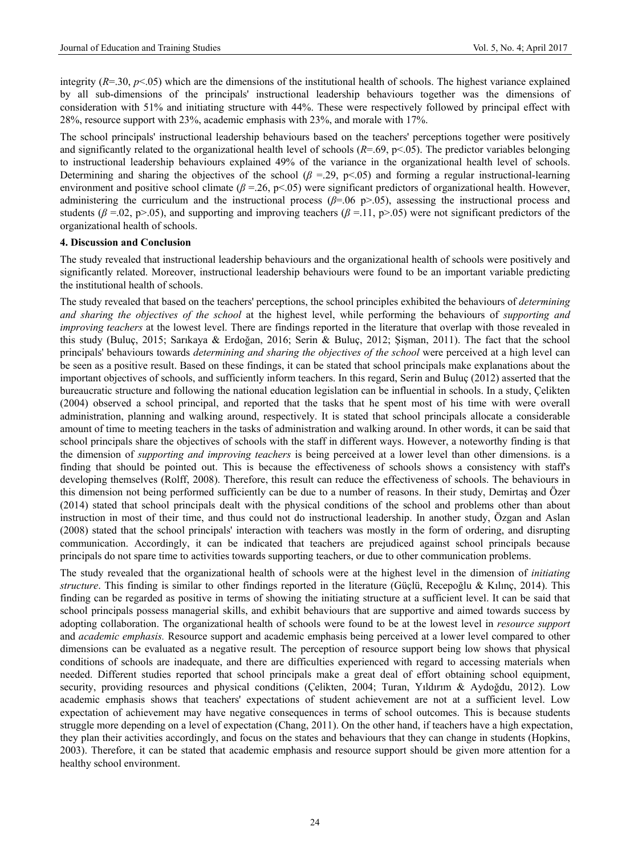integrity  $(R=30, p<.05)$  which are the dimensions of the institutional health of schools. The highest variance explained by all sub-dimensions of the principals' instructional leadership behaviours together was the dimensions of consideration with 51% and initiating structure with 44%. These were respectively followed by principal effect with 28%, resource support with 23%, academic emphasis with 23%, and morale with 17%.

The school principals' instructional leadership behaviours based on the teachers' perceptions together were positively and significantly related to the organizational health level of schools  $(R=0.69, p<0.65)$ . The predictor variables belonging to instructional leadership behaviours explained 49% of the variance in the organizational health level of schools. Determining and sharing the objectives of the school ( $\beta$  =.29, p<.05) and forming a regular instructional-learning environment and positive school climate (*β* =.26, p<.05) were significant predictors of organizational health. However, administering the curriculum and the instructional process ( $\beta$ =.06 p>.05), assessing the instructional process and students ( $\beta = .02$ , p>.05), and supporting and improving teachers ( $\beta = .11$ , p>.05) were not significant predictors of the organizational health of schools.

#### **4. Discussion and Conclusion**

The study revealed that instructional leadership behaviours and the organizational health of schools were positively and significantly related. Moreover, instructional leadership behaviours were found to be an important variable predicting the institutional health of schools.

The study revealed that based on the teachers' perceptions, the school principles exhibited the behaviours of *determining and sharing the objectives of the school* at the highest level, while performing the behaviours of *supporting and improving teachers* at the lowest level. There are findings reported in the literature that overlap with those revealed in this study (Buluç, 2015; Sarıkaya & Erdoğan, 2016; Serin & Buluç, 2012; Şişman, 2011). The fact that the school principals' behaviours towards *determining and sharing the objectives of the school* were perceived at a high level can be seen as a positive result. Based on these findings, it can be stated that school principals make explanations about the important objectives of schools, and sufficiently inform teachers. In this regard, Serin and Buluç (2012) asserted that the bureaucratic structure and following the national education legislation can be influential in schools. In a study, Çelikten (2004) observed a school principal, and reported that the tasks that he spent most of his time with were overall administration, planning and walking around, respectively. It is stated that school principals allocate a considerable amount of time to meeting teachers in the tasks of administration and walking around. In other words, it can be said that school principals share the objectives of schools with the staff in different ways. However, a noteworthy finding is that the dimension of *supporting and improving teachers* is being perceived at a lower level than other dimensions. is a finding that should be pointed out. This is because the effectiveness of schools shows a consistency with staff's developing themselves (Rolff, 2008). Therefore, this result can reduce the effectiveness of schools. The behaviours in this dimension not being performed sufficiently can be due to a number of reasons. In their study, Demirtaş and Özer (2014) stated that school principals dealt with the physical conditions of the school and problems other than about instruction in most of their time, and thus could not do instructional leadership. In another study, Özgan and Aslan (2008) stated that the school principals' interaction with teachers was mostly in the form of ordering, and disrupting communication. Accordingly, it can be indicated that teachers are prejudiced against school principals because principals do not spare time to activities towards supporting teachers, or due to other communication problems.

The study revealed that the organizational health of schools were at the highest level in the dimension of *initiating structure*. This finding is similar to other findings reported in the literature (Güçlü, Recepoğlu & Kılınç, 2014). This finding can be regarded as positive in terms of showing the initiating structure at a sufficient level. It can be said that school principals possess managerial skills, and exhibit behaviours that are supportive and aimed towards success by adopting collaboration. The organizational health of schools were found to be at the lowest level in *resource support* and *academic emphasis.* Resource support and academic emphasis being perceived at a lower level compared to other dimensions can be evaluated as a negative result. The perception of resource support being low shows that physical conditions of schools are inadequate, and there are difficulties experienced with regard to accessing materials when needed. Different studies reported that school principals make a great deal of effort obtaining school equipment, security, providing resources and physical conditions (Çelikten, 2004; Turan, Yıldırım & Aydoğdu, 2012). Low academic emphasis shows that teachers' expectations of student achievement are not at a sufficient level. Low expectation of achievement may have negative consequences in terms of school outcomes. This is because students struggle more depending on a level of expectation (Chang, 2011). On the other hand, if teachers have a high expectation, they plan their activities accordingly, and focus on the states and behaviours that they can change in students (Hopkins, 2003). Therefore, it can be stated that academic emphasis and resource support should be given more attention for a healthy school environment.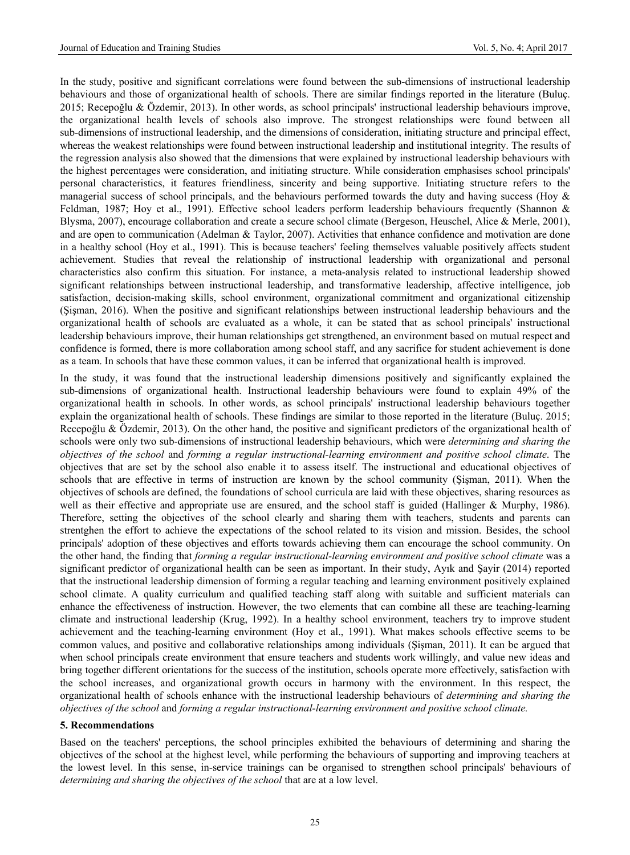In the study, positive and significant correlations were found between the sub-dimensions of instructional leadership behaviours and those of organizational health of schools. There are similar findings reported in the literature (Buluç. 2015; Recepoğlu & Özdemir, 2013). In other words, as school principals' instructional leadership behaviours improve, the organizational health levels of schools also improve. The strongest relationships were found between all sub-dimensions of instructional leadership, and the dimensions of consideration, initiating structure and principal effect, whereas the weakest relationships were found between instructional leadership and institutional integrity. The results of the regression analysis also showed that the dimensions that were explained by instructional leadership behaviours with the highest percentages were consideration, and initiating structure. While consideration emphasises school principals' personal characteristics, it features friendliness, sincerity and being supportive. Initiating structure refers to the managerial success of school principals, and the behaviours performed towards the duty and having success (Hoy & Feldman, 1987; Hoy et al., 1991). Effective school leaders perform leadership behaviours frequently (Shannon & Blysma, 2007), encourage collaboration and create a secure school climate (Bergeson, Heuschel, Alice & Merle, 2001), and are open to communication (Adelman & Taylor, 2007). Activities that enhance confidence and motivation are done in a healthy school (Hoy et al., 1991). This is because teachers' feeling themselves valuable positively affects student achievement. Studies that reveal the relationship of instructional leadership with organizational and personal characteristics also confirm this situation. For instance, a meta-analysis related to instructional leadership showed significant relationships between instructional leadership, and transformative leadership, affective intelligence, job satisfaction, decision-making skills, school environment, organizational commitment and organizational citizenship (Şişman, 2016). When the positive and significant relationships between instructional leadership behaviours and the organizational health of schools are evaluated as a whole, it can be stated that as school principals' instructional leadership behaviours improve, their human relationships get strengthened, an environment based on mutual respect and confidence is formed, there is more collaboration among school staff, and any sacrifice for student achievement is done as a team. In schools that have these common values, it can be inferred that organizational health is improved.

In the study, it was found that the instructional leadership dimensions positively and significantly explained the sub-dimensions of organizational health. Instructional leadership behaviours were found to explain 49% of the organizational health in schools. In other words, as school principals' instructional leadership behaviours together explain the organizational health of schools. These findings are similar to those reported in the literature (Buluç. 2015; Recepoğlu & Özdemir, 2013). On the other hand, the positive and significant predictors of the organizational health of schools were only two sub-dimensions of instructional leadership behaviours, which were *determining and sharing the objectives of the school* and *forming a regular instructional-learning environment and positive school climate*. The objectives that are set by the school also enable it to assess itself. The instructional and educational objectives of schools that are effective in terms of instruction are known by the school community (Şişman, 2011). When the objectives of schools are defined, the foundations of school curricula are laid with these objectives, sharing resources as well as their effective and appropriate use are ensured, and the school staff is guided (Hallinger & Murphy, 1986). Therefore, setting the objectives of the school clearly and sharing them with teachers, students and parents can strentghen the effort to achieve the expectations of the school related to its vision and mission. Besides, the school principals' adoption of these objectives and efforts towards achieving them can encourage the school community. On the other hand, the finding that *forming a regular instructional-learning environment and positive school climate* was a significant predictor of organizational health can be seen as important. In their study, Ayık and Şayir (2014) reported that the instructional leadership dimension of forming a regular teaching and learning environment positively explained school climate. A quality curriculum and qualified teaching staff along with suitable and sufficient materials can enhance the effectiveness of instruction. However, the two elements that can combine all these are teaching-learning climate and instructional leadership (Krug, 1992). In a healthy school environment, teachers try to improve student achievement and the teaching-learning environment (Hoy et al., 1991). What makes schools effective seems to be common values, and positive and collaborative relationships among individuals (Şişman, 2011). It can be argued that when school principals create environment that ensure teachers and students work willingly, and value new ideas and bring together different orientations for the success of the institution, schools operate more effectively, satisfaction with the school increases, and organizational growth occurs in harmony with the environment. In this respect, the organizational health of schools enhance with the instructional leadership behaviours of *determining and sharing the objectives of the school* and *forming a regular instructional-learning environment and positive school climate.*

#### **5. Recommendations**

Based on the teachers' perceptions, the school principles exhibited the behaviours of determining and sharing the objectives of the school at the highest level, while performing the behaviours of supporting and improving teachers at the lowest level. In this sense, in-service trainings can be organised to strengthen school principals' behaviours of *determining and sharing the objectives of the school* that are at a low level.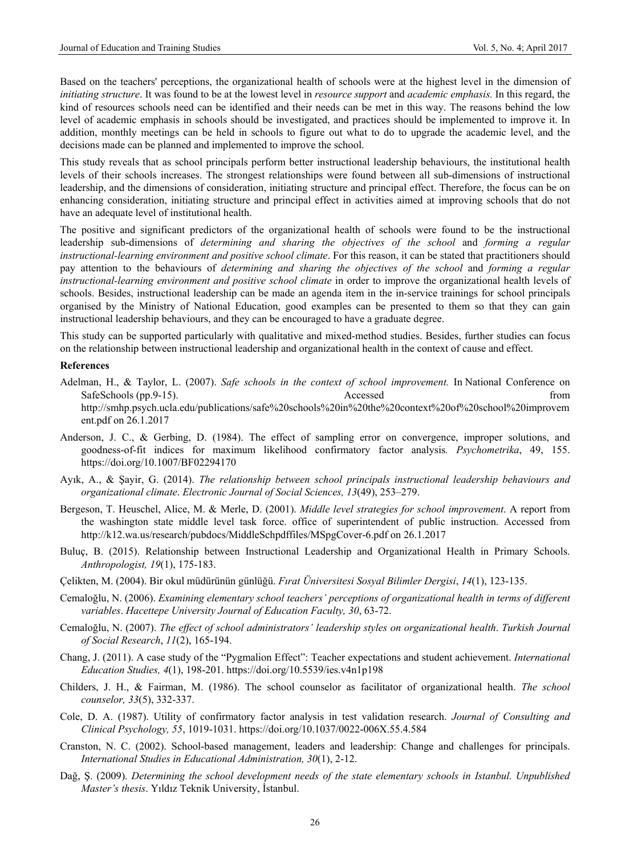Based on the teachers' perceptions, the organizational health of schools were at the highest level in the dimension of *initiating structure*. It was found to be at the lowest level in *resource support* and *academic emphasis.* In this regard, the kind of resources schools need can be identified and their needs can be met in this way. The reasons behind the low level of academic emphasis in schools should be investigated, and practices should be implemented to improve it. In addition, monthly meetings can be held in schools to figure out what to do to upgrade the academic level, and the decisions made can be planned and implemented to improve the school.

This study reveals that as school principals perform better instructional leadership behaviours, the institutional health levels of their schools increases. The strongest relationships were found between all sub-dimensions of instructional leadership, and the dimensions of consideration, initiating structure and principal effect. Therefore, the focus can be on enhancing consideration, initiating structure and principal effect in activities aimed at improving schools that do not have an adequate level of institutional health.

The positive and significant predictors of the organizational health of schools were found to be the instructional leadership sub-dimensions of *determining and sharing the objectives of the school* and *forming a regular instructional-learning environment and positive school climate*. For this reason, it can be stated that practitioners should pay attention to the behaviours of *determining and sharing the objectives of the school* and *forming a regular instructional-learning environment and positive school climate* in order to improve the organizational health levels of schools. Besides, instructional leadership can be made an agenda item in the in-service trainings for school principals organised by the Ministry of National Education, good examples can be presented to them so that they can gain instructional leadership behaviours, and they can be encouraged to have a graduate degree.

This study can be supported particularly with qualitative and mixed-method studies. Besides, further studies can focus on the relationship between instructional leadership and organizational health in the context of cause and effect.

#### **References**

- Adelman, H., & Taylor, L. (2007). *Safe schools in the context of school improvement.* In National Conference on SafeSchools (pp.9-15). Accessed from Accessed from Accessed from Accessed from Accessed from  $\sim$ http://smhp.psych.ucla.edu/publications/safe%20schools%20in%20the%20context%20of%20school%20improvem ent.pdf on 26.1.2017
- Anderson, J. C., & Gerbing, D. (1984). The effect of sampling error on convergence, improper solutions, and goodness-of-fit indices for maximum likelihood confirmatory factor analysis*. Psychometrika*, 49, 155. https://doi.org/10.1007/BF02294170
- Ayık, A., & Şayir, G. (2014). *The relationship between school principals instructional leadership behaviours and organizational climate*. *Electronic Journal of Social Sciences, 13*(49), 253–279.
- Bergeson, T. Heuschel, Alice, M. & Merle, D. (2001). *Middle level strategies for school improvement*. A report from the washington state middle level task force. office of superintendent of public instruction. Accessed from http://k12.wa.us/research/pubdocs/MiddleSchpdffiles/MSpgCover-6.pdf on 26.1.2017
- Buluç, B. (2015). Relationship between Instructional Leadership and Organizational Health in Primary Schools. *Anthropologist, 19*(1), 175-183.
- Çelikten, M. (2004). Bir okul müdürünün günlüğü. *Fırat Üniversitesi Sosyal Bilimler Dergisi*, *14*(1), 123-135.
- Cemaloğlu, N. (2006). *Examining elementary school teachers' perceptions of organizational health in terms of different variables*. *Hacettepe University Journal of Education Faculty, 30*, 63-72.
- Cemaloğlu, N. (2007). *The effect of school administrators' leadership styles on organizational health*. *Turkish Journal of Social Research*, *11*(2), 165-194.
- Chang, J. (2011). A case study of the "Pygmalion Effect": Teacher expectations and student achievement. *International Education Studies, 4*(1), 198-201. https://doi.org/10.5539/ies.v4n1p198
- Childers, J. H., & Fairman, M. (1986). The school counselor as facilitator of organizational health. *The school counselor, 33*(5), 332-337.
- Cole, D. A. (1987). Utility of confirmatory factor analysis in test validation research. *Journal of Consulting and Clinical Psychology, 55*, 1019-1031. https://doi.org/10.1037/0022-006X.55.4.584
- Cranston, N. C. (2002). School-based management, leaders and leadership: Change and challenges for principals. *International Studies in Educational Administration, 30*(1), 2-12.
- Dağ, Ş. (2009). *Determining the school development needs of the state elementary schools in Istanbul. Unpublished Master's thesis*. Yıldız Teknik University, İstanbul.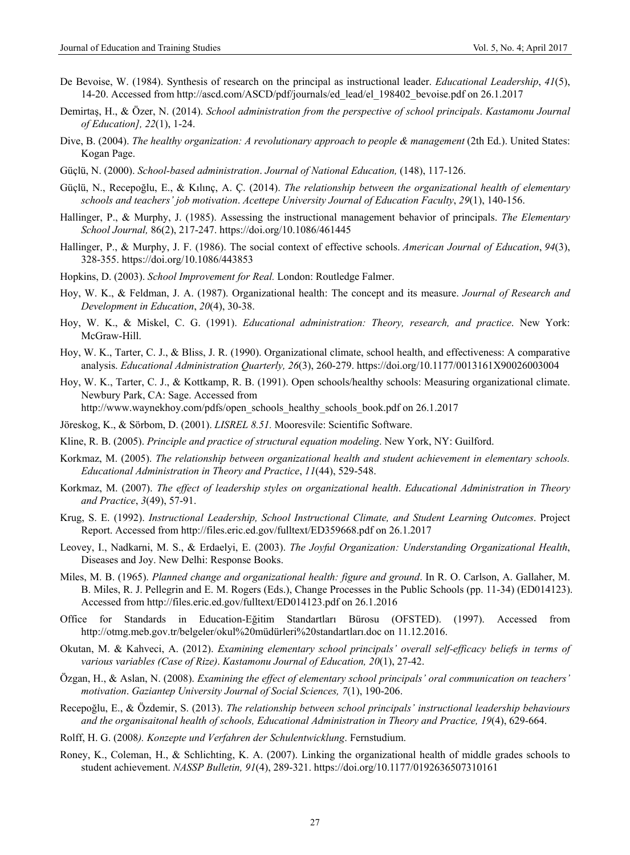- De Bevoise, W. (1984). Synthesis of research on the principal as instructional leader. *Educational Leadership*, *41*(5), 14-20. Accessed from http://ascd.com/ASCD/pdf/journals/ed\_lead/el\_198402\_bevoise.pdf on 26.1.2017
- Demirtaş, H., & Özer, N. (2014). *School administration from the perspective of school principals*. *Kastamonu Journal of Education], 22*(1), 1-24.
- Dive, B. (2004). *The healthy organization: A revolutionary approach to people & management* (2th Ed.). United States: Kogan Page.
- Güçlü, N. (2000). *School-based administration*. *Journal of National Education,* (148), 117-126.
- Güçlü, N., Recepoğlu, E., & Kılınç, A. Ç. (2014). *The relationship between the organizational health of elementary schools and teachers' job motivation*. *Acettepe University Journal of Education Faculty*, *29*(1), 140-156.
- Hallinger, P., & Murphy, J. (1985). Assessing the instructional management behavior of principals. *The Elementary School Journal,* 86(2), 217-247. https://doi.org/10.1086/461445
- Hallinger, P., & Murphy, J. F. (1986). The social context of effective schools. *American Journal of Education*, *94*(3), 328-355. https://doi.org/10.1086/443853
- Hopkins, D. (2003). *School Improvement for Real.* London: Routledge Falmer.
- Hoy, W. K., & Feldman, J. A. (1987). Organizational health: The concept and its measure. *Journal of Research and Development in Education*, *20*(4), 30-38.
- Hoy, W. K., & Miskel, C. G. (1991). *Educational administration: Theory, research, and practice*. New York: McGraw-Hill.
- Hoy, W. K., Tarter, C. J., & Bliss, J. R. (1990). Organizational climate, school health, and effectiveness: A comparative analysis. *Educational Administration Quarterly, 26*(3), 260-279. https://doi.org/10.1177/0013161X90026003004
- Hoy, W. K., Tarter, C. J., & Kottkamp, R. B. (1991). Open schools/healthy schools: Measuring organizational climate. Newbury Park, CA: Sage. Accessed from

http://www.waynekhoy.com/pdfs/open\_schools\_healthy\_schools\_book.pdf on 26.1.2017

- Jöreskog, K., & Sörbom, D. (2001). *LISREL 8.51.* Mooresvile: Scientific Software.
- Kline, R. B. (2005). *Principle and practice of structural equation modeling*. New York, NY: Guilford.
- Korkmaz, M. (2005). *The relationship between organizational health and student achievement in elementary schools. Educational Administration in Theory and Practice*, *11*(44), 529-548.
- Korkmaz, M. (2007). *The effect of leadership styles on organizational health*. *Educational Administration in Theory and Practice*, *3*(49), 57-91.
- Krug, S. E. (1992). *Instructional Leadership, School Instructional Climate, and Student Learning Outcomes*. Project Report. Accessed from http://files.eric.ed.gov/fulltext/ED359668.pdf on 26.1.2017
- Leovey, I., Nadkarni, M. S., & Erdaelyi, E. (2003). *The Joyful Organization: Understanding Organizational Health*, Diseases and Joy. New Delhi: Response Books.
- Miles, M. B. (1965). *Planned change and organizational health: figure and ground*. In R. O. Carlson, A. Gallaher, M. B. Miles, R. J. Pellegrin and E. M. Rogers (Eds.), Change Processes in the Public Schools (pp. 11-34) (ED014123). Accessed from http://files.eric.ed.gov/fulltext/ED014123.pdf on 26.1.2016
- Office for Standards in Education-Eğitim Standartları Bürosu (OFSTED). (1997). Accessed from http://otmg.meb.gov.tr/belgeler/okul%20müdürleri%20standartları.doc on 11.12.2016.
- Okutan, M. & Kahveci, A. (2012). *Examining elementary school principals' overall self-efficacy beliefs in terms of various variables (Case of Rize)*. *Kastamonu Journal of Education, 20*(1), 27-42.
- Özgan, H., & Aslan, N. (2008). *Examining the effect of elementary school principals' oral communication on teachers' motivation*. *Gaziantep University Journal of Social Sciences, 7*(1), 190-206.
- Recepoğlu, E., & Özdemir, S. (2013). *The relationship between school principals' instructional leadership behaviours and the organisaitonal health of schools, Educational Administration in Theory and Practice, 19*(4), 629-664.
- Rolff, H. G. (2008*). Konzepte und Verfahren der Schulentwicklung*. Fernstudium.
- Roney, K., Coleman, H., & Schlichting, K. A. (2007). Linking the organizational health of middle grades schools to student achievement. *NASSP Bulletin, 91*(4), 289-321. https://doi.org/10.1177/0192636507310161